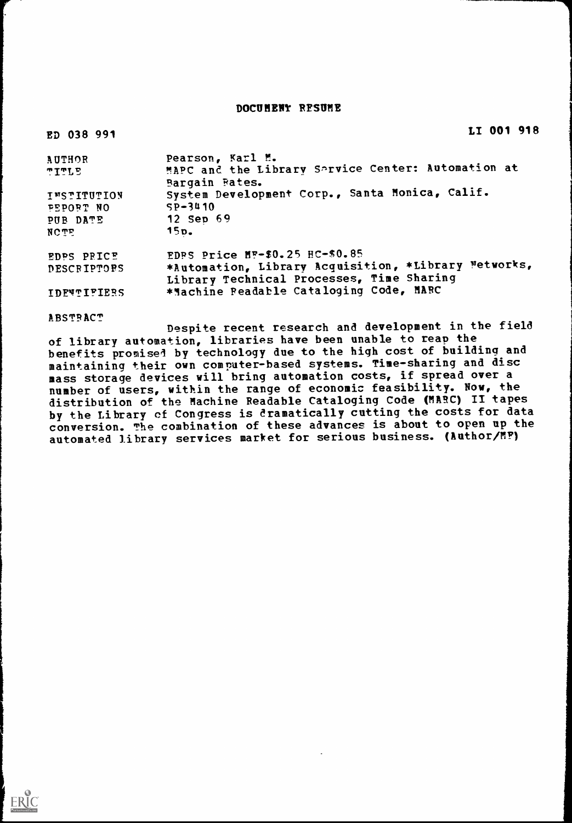## DOCUMENT RESUME

| LI 001 918                                           |
|------------------------------------------------------|
| Pearson, Karl M.                                     |
| MAPC and the Library Sarvice Center: Automation at   |
| Bargain Fates.                                       |
| System Development Corp., Santa Monica, Calif.       |
| $SP-3410$                                            |
| 12 Sep 69                                            |
| 15p.                                                 |
| EDPS Price MF-\$0.25 HC-\$0.85                       |
| *Automation, Library Acquisition, *Library Metworks, |
| Library Technical Processes, Time Sharing            |
| *Machine Peadable Cataloging Code, MARC              |
|                                                      |

**ABSTRACT** 

Despite recent research and development in the field of library automation, libraries have been unable to reap the benefits promised by technology due to the high cost of building and maintaining their own computer-based systems. Time-sharing and disc mass storage devices will bring automation costs, if spread over a number of users, within the range of economic feasibility. Now, the distribution of the Machine Readable Cataloging Code (MARC) II tapes by the Library of Congress is dramatically cutting the costs for data conversion. The combination of these advances is about to open up the automated library services market for serious business. (Author/MF)

ERIC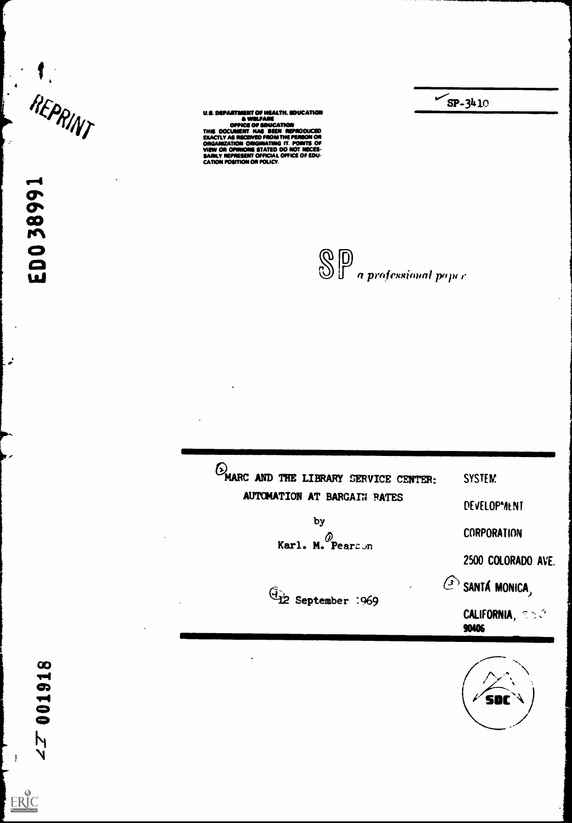$\frac{1}{2}$ 

 $\alpha$  $\sum_{i=1}^{n}$ co<sub>,</sub>

 $\bullet$ 

**if**  $\mathcal{L}(\mathcal{D}_{\mathbf{0},\mathbf{z}})$  u.s. DEPARTMENT OF HEALTH. EDUCATION 4 WILFARE OFFICE OF EDUCATION<br>THIS DOCUMENT HAS SEEN REPRODUCED<br>EXACTLY AS RECEIVIO FROM THE PERBON OR<br>ORGANIZATION ORIGINATING IT. POINTS OF VIEW ON OPINIONS STATED DO NOT NECES<br>SARILY REPRESENT OFFICIAL OFFICE OF EDU CATION POSITION OR POLICY.

 $\bigotimes \mathbb{D}$  a professional paper

 $\sqrt{5P-3410}$ 

(D)<br>MARC AND THE LIBRARY SERVICE CENTER: SYSTEM: AUTOMATION AT BARGAIN PATES DEVELOP"/IENT by CORPORATION Karl. M. Pearson 2500 COLORADO AVE.  $\widehat{\mathbb{G}}$  SANTA MONICA<sub>)</sub> CALIFORNIA,  $\mathbb{R} > 0$ 90406

8 ┯┥ 6  $2700$ 

 $\begin{array}{c} \begin{array}{c} \begin{array}{c} \end{array} \end{array} \end{array}$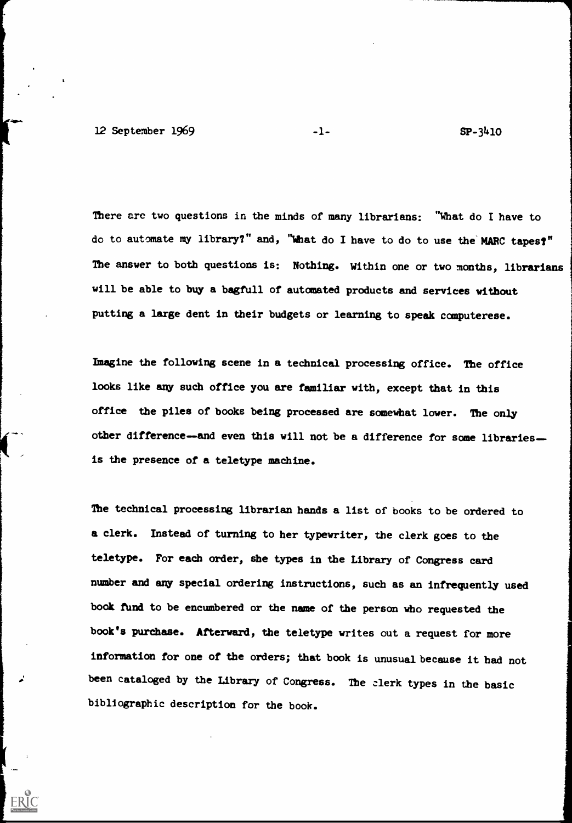There are two questions in the minds of many librarians: "What do I have to do to automate my library?" and, "What do I have to do to use the MARC tapes?" The answer to both questions is: Nothing. Within one or two months, librarians will be able to buy a bagfull of automated products and services without putting a large dent in their budgets or learning to speak computerese.

Imagine the following scene in a technical processing office. The office looks like any such office you are familiar with, except that in this office the piles of books being processed are somewhat lower. The only other difference-and even this will not be a difference for some librariesis the presence of a teletype machine.

The technical processing librarian hands a list of books to be ordered to a clerk. Instead of turning to her typewriter, the clerk goes to the teletype. For each order, she types in the Library of Congress card number and any special ordering instructions, such as an infrequently used book fund to be encumbered or the name of the person who requested the book's purchase. Afterward, the teletype writes out a request for more information for one of the orders; that book is unusual because it had not been cataloged by the Library of Congress. The clerk types in the basic bibliographic description for the book.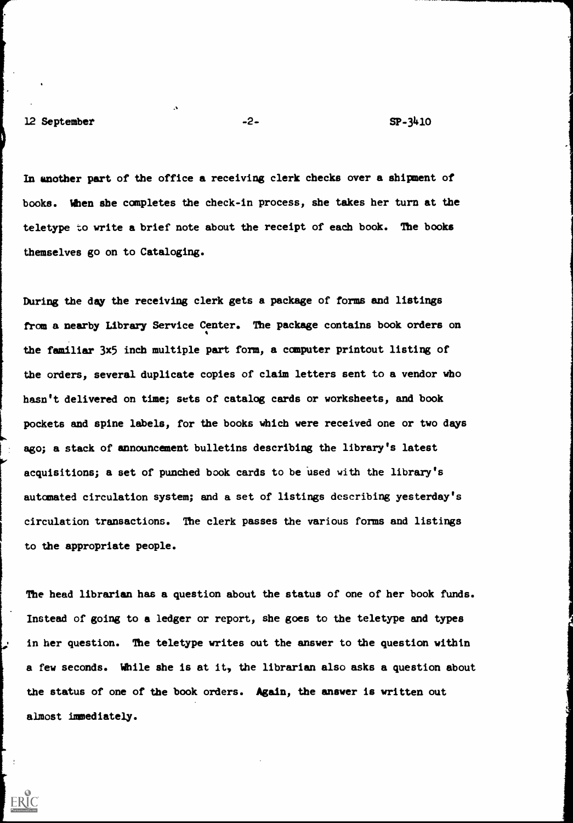In another part of the office a receiving clerk checks over a shipment of books. When she completes the check-in process, she takes her turn at the teletype to write a brief note about the receipt of each book. The books themselves go on to Cataloging.

During the day the receiving clerk gets a package of forms and listings from a nearby Library Service Center. The package contains book orders on the familiar 3x5 inch multiple part form, a computer printout listing of the orders, several duplicate copies of claim letters sent to a vendor who hasn't delivered on time; sets of catalog cards or worksheets, and book pockets and spine labels, for the books which were received one or two days ago; a stack of announcement bulletins describing the library's latest acquisitions; a set of punched book cards to be used with the library's automated circulation system; and a set of listings describing yesterday's circulation transactions. The clerk passes the various forms and listings to the appropriate people.

The head librarian has a question about the status of one of her book funds. Instead of going to a ledger or report, she goes to the teletype and types in her question. The teletype writes out the answer to the question within a few seconds. While she is at it, the librarian also asks a question about the status of one of the book orders. Again, the answer is written out almost immediately.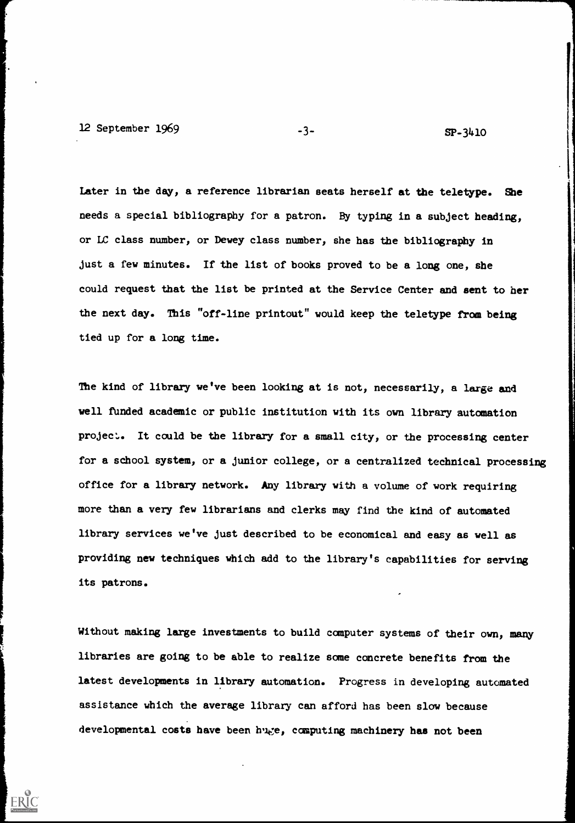12 September 1969 -3- 5P-3410

ERIC

Later in the day, a reference librarian seats herself at the teletype. She needs a special bibliography for a patron. By typing in a subject heading, or LC class number, or Dewey class number, she has the bibliography in just a few minutes. If the list of books proved to be a long one, she could request that the list be printed at the Service Center and sent to her the next day. This "off-line printout" would keep the teletype from being tied up for a long time.

The kind of library we've been looking at is not, necessarily, a large and well funded academic or public institution with its own library automation project. It could be the library for a small city, or the processing center for a school system, or a junior college, or a centralized technical processing office for a library network. Any library with a volume of work requiring more than a very few librarians and clerks may find the kind of automated library services we've just described to be economical and easy as well as providing new techniques which add to the library's capabilities for serving its patrons.

Without making large investments to build computer systems of their own, many libraries are going to be able to realize some concrete benefits from the latest developments in library automation. Progress in developing automated assistance which the average library can afford has been slow because developmental costs have been huge, computing machinery has not been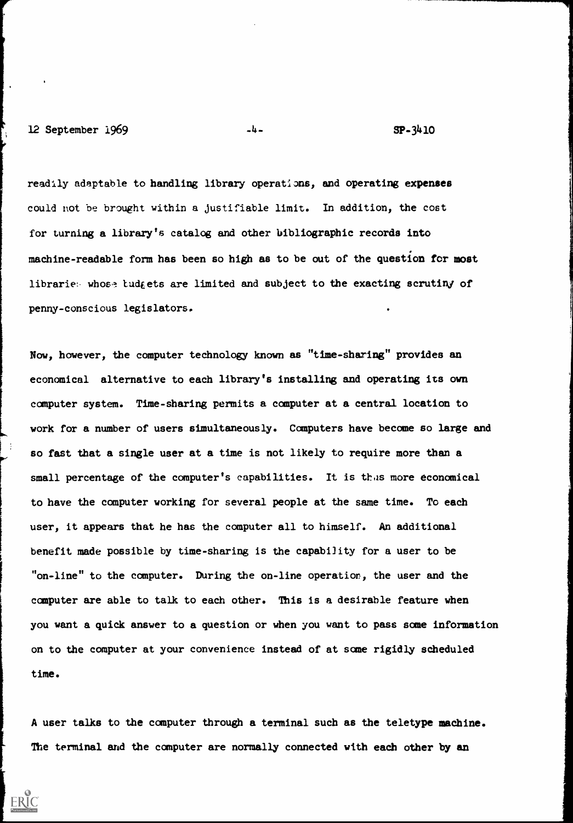## 12 September 1969 -4- SP-3410

ERIC

readily adaptable to handling library operations, and operating expenses could not be brought within a justifiable limit. In addition, the cost for turning a library's catalog and other bibliographic records into machine- readable form has been so high as to be out of the question for most libraries whose tudgets are limited and subject to the exacting scrutiny of penny-conscious legislators.

Now, however, the computer technology known as "time-sharing" provides an economical alternative to each library's installing and operating its own computer system. Time-sharing permits a computer at a central location to work for a number of users simultaneously. Computers have become so large and so fast that a single user at a time is not likely to require more than a small percentage of the computer's capabilities. It is thus more economical to have the computer working for several people at the same time. To each user, it appears that he has the computer all to himself. An additional benefit made possible by time-sharing is the capability for a user to be "on-line" to the computer. During the on-line operation, the user and the computer are able to talk to each other. This is a desirable feature when you want a quick answer to a question or when you want to pass some information on to the computer at your convenience instead of at some rigidly scheduled time.

A user talks to the computer through a terminal such as the teletype machine. The terminal and the computer are normally connected with each other by an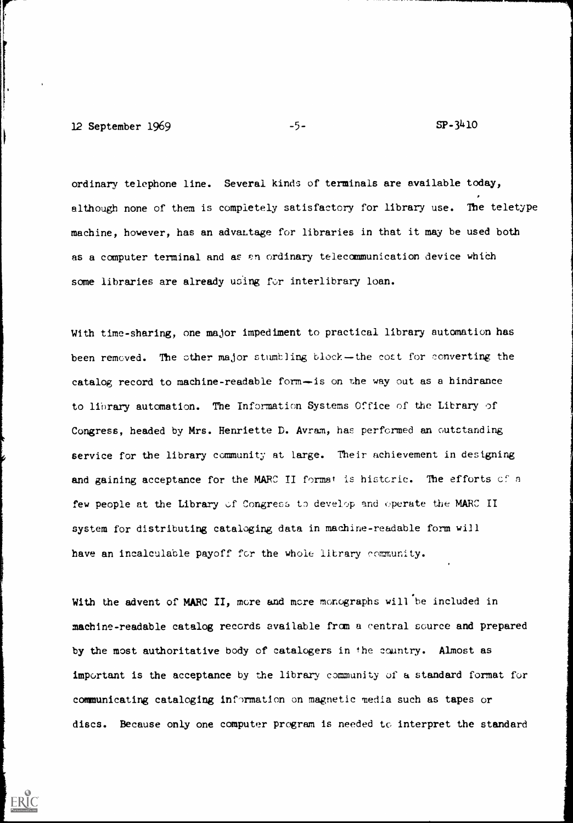12 September 1969  $-5$ - $-5$ - $SP-3410$ 

ordinary telephone line. Several kinds of terminals are available today, although none of them is completely satisfactory for library use. The teletype machine, however, has an advantage for libraries in that it may be used both as a computer terminal and as an ordinary telecommunication device which some libraries are already using for interlibrary loan.

With time-sharing, one major impediment to practical library automation has been removed. The other major stumbling block-the cost for converting the catalog record to machine-readable form-is on the way out as a hindrance to library automation. The Information Systems Office of the Library of Congress, headed by Mrs. Henriette D. Avram, has performed an outstanding service for the library community at large. Their achievement in designing and gaining acceptance for the MARC II format is historic. The efforts of a few people at the Library of Congress to develop and operate the MARC II system for distributing cataloging data in machine-readable form will have an incalculable payoff for the whole library community.

With the advent of MARC II, more and more monographs will be included in machine-readable catalog records available from a central source and prepared by the most authoritative body of catalogers in the country. Almost as important is the acceptance by the library community of a standard format for communicating cataloging inf-)rmation on magnetic media such as tapes or discs. Because only one computer program is needed to interpret the standard

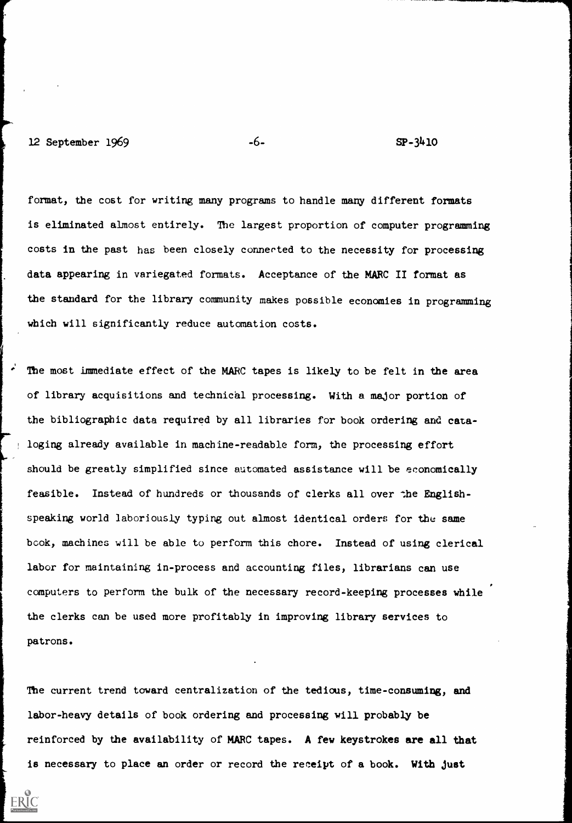format, the cost for writing many programs to handle many different formats is eliminated almost entirely. The largest proportion of computer programming costs in the past has been closely connected to the necessity for processing data appearing in variegated formats. Acceptance of the MARC II format as the standard for the library community makes possible economies in programming which will significantly reduce automation costs.

The most immediate effect of the MARC tapes is likely to be felt in the area of library acquisitions and technical processing. With a major portion of the bibliographic data required by all libraries for book ordering and cataloging already available in machine-readable form, the processing effort should be greatly simplified since automated assistance will be economically feasible. Instead of hundreds or thousands of clerks all over the Englishspeaking world laboriously typing out almost identical orders for the same book, machines will be able to perform this chore. Instead of using clerical labor for maintaining in-process and accounting files, librarians can use computers to perform the bulk of the necessary record-keeping processes while the clerks can be used more profitably in improving library services to patrons.

The current trend toward centralization of the tedious, time-consuming labor-heavy details of book ordering and processing will probably be reinforced by the availability of MARC tapes. A few keystrokes are all that is necessary to place an order or record the receipt of a book. With just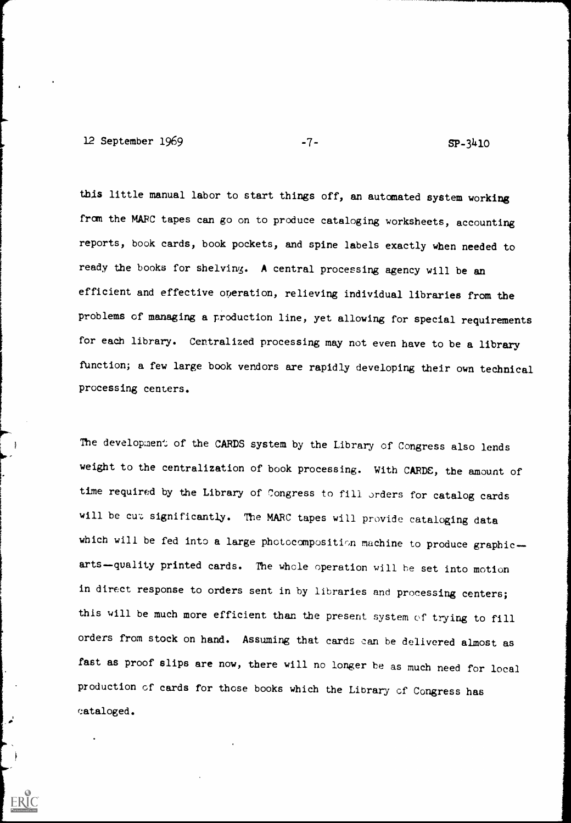12 September 1969 -7- SP-3410

this little manual labor to start things off, an automated system working from the MARC tapes can go on to produce cataloging worksheets, accounting reports, book cards, book pockets, and spine labels exactly when needed to ready the books for shelving. A central processing agency will be an efficient and effective operation, relieving individual libraries from the problems of managing a production line, yet allowing for special requirements for each library. Centralized processing may not even have to be a library function; a few large book vendors are rapidly developing their own technical processing centers.

The development of the CARDS system by the Library of Congress also lends weight to the centralization of book processing. With CARDE, the amount of time required by the Library of Congress to fill orders for catalog cards will be cut significantly. The MARC tapes will provide cataloging data which will be fed into a large photocomposition machine to produce graphicarts-quality printed cards. The whole operation will be set into motion in direct response to orders sent in by libraries and processing centers; this will be much more efficient than the present system of trying to fill orders from stock on hand. Assuming that cards can be delivered almost as fast as proof slips are now, there will no longer be as much need for local production of cards for those books which the Library of Congress has cataloged.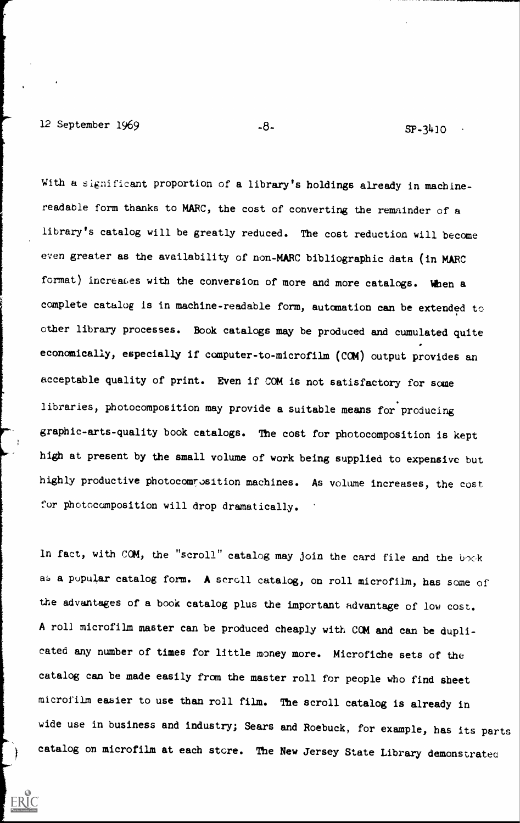12 September 1969 -8- SP-3410

ERIC

With a significant proportion of a library's holdings already in machinereadable form thanks to MARC, the cost of converting the remainder of a library's catalog will be greatly reduced. The cost reduction will become even greater as the availability of non-MARC bibliographic data (in MARC format) increases with the conversion of more and more catalogs. When a complete catalog is in machine-readable form, automation can be extended to other library processes. Book catalogs may be produced and cumulated quite economically, especially if computer-to-microfilm (COM) output provides an acceptable quality of print. Even if COM is not satisfactory for some libraries, photocomposition may provide a suitable means for producing graphic-arts-quality book catalogs. The cost for photocomposition is kept high at present by the small volume of work being supplied to expensive but highly productive photocomrosition machines. As volume increases, the cost for photocomposition will drop dramatically.

In fact, with COM, the "scroll" catalog may join the card file and the book as a popular catalog form. A scroll catalog, on roll microfilm, has some of the advantages of a book catalog plus the important advantage of low cost. A roll microfilm master can be produced cheaply with COM and can be duplicated any number of times for little money more. Microfiche sets of the catalog can be made easily from the master roll for people who find sheet microfilm easier to use than roll film. The scroll catalog is already in wide use in business and industry; Sears and Roebuck, for example, has its parts catalog on microfilm at each store. The New Jersey State Library demonstrates: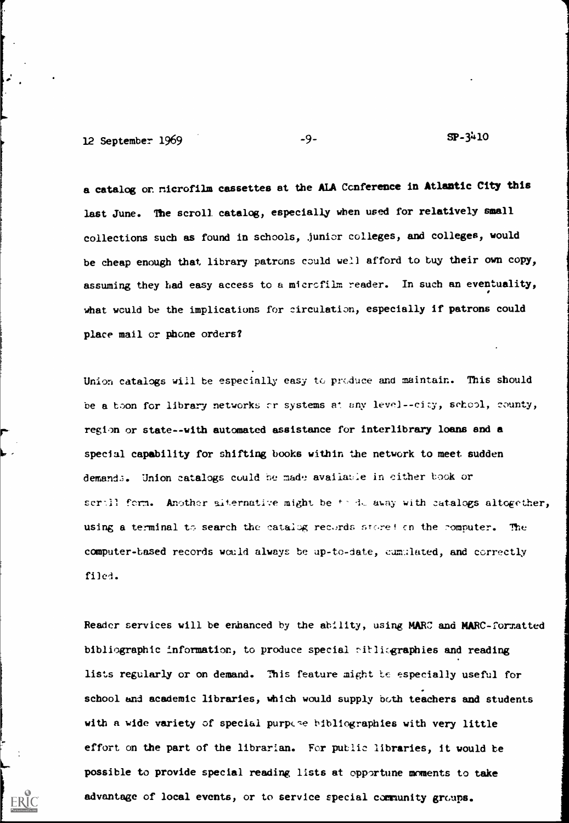$12$  September 1969  $-9$ -  $-9$ -  $\qquad \qquad$   $\qquad$   $\qquad$   $\qquad$   $\qquad$   $\qquad$   $\qquad$   $\qquad$   $\qquad$   $\qquad$   $\qquad$   $\qquad$   $\qquad$   $\qquad$   $\qquad$   $\qquad$   $\qquad$   $\qquad$   $\qquad$   $\qquad$   $\qquad$   $\qquad$   $\qquad$   $\qquad$   $\qquad$   $\qquad$   $\qquad$   $\qquad$   $\qquad$   $\qquad$   $\qquad$ 

a catalog on nicrofilm cassettes at the ALA Ccnference in Atlantic City this last June. The scroll catalog, especially when used for relatively small collections such as found in schools, junior colleges, and colleges, would be cheap enough that library patrons could well afford to buy their own copy, assuming they had easy access to a microfilm reader. In such an eventuality, what would be the implications for circulation, especially if patrons could place mail or phone orders?

Union catalogs will be especially easy to produce and maintain. This should be a boon for library networks or systems at any level--city, school, county, region or state--with automated assistance for interlibrary loans and a special capability for shifting books within the network to meet sudden demands. Union catalogs could be made availatie in either took or scrill form. Another alternative might be  $f \cdot A$ . away with catalogs altogether, using a terminal to search the catalog records store! on the romputer. The computer-based records would always be up-to-date, cumulated, and correctly filed.

Reader services will be enhanced by the ability, using MARC and MARC-formatted bibliographic information, to produce special sitlisgraphies and reading lists regularly or on demand. This feature might te especially useful for school and academic libraries, which would supply both teachers and students with a wide variety of special purpese bibliographies with very little effort on the part of the librarian. For putlic libraries, it would be possible to provide special reading lists at opportune moments to take advantage of local events, or to service special community groups.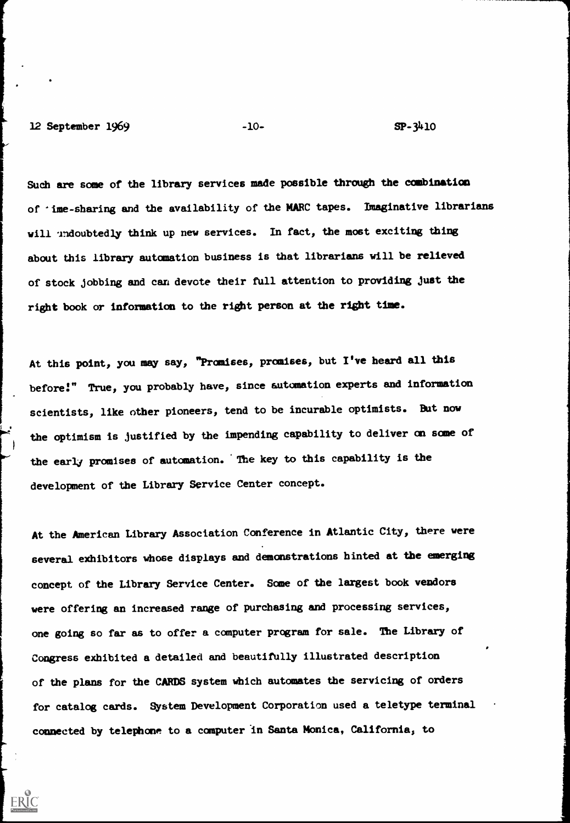12 September 1969 -10- SP-3410

ERIC

Such are some of the library services made possible through the combination of 'ime-sharing and the availability of the MARC tapes. Imaginative librarians will undoubtedly think up new services. In fact, the most exciting thing about this library automation business is that librarians will be relieved of stock jobbing and can devote their full attention to providing just the right book or information to the right person at the right time.

At this point, you may say, "Promises, promises, but I've heard all this before!" True, you probably have, since automation experts and information scientists, like other pioneers, tend to be incurable optimists. But now the optimism is justified by the impending capability to deliver on some of the early promises of automation. The key to this capability is the development of the Library Service Center concept.

At the American Library Association Conference in Atlantic City, there were several exhibitors whose displays and demonstrations hinted at the emerging concept of the Library Service Center. Some of the largest book vendors were offering an increased range of purchasing and processing services, one going so far as to offer a computer program for sale. The Library of Congress exhibited a detailed and beautifully illustrated description of the plans for the CARDS system which automates the servicing of orders for catalog cards. System Development Corporation used a teletype terminal connected by telephone to a computer in Santa Monica, California, to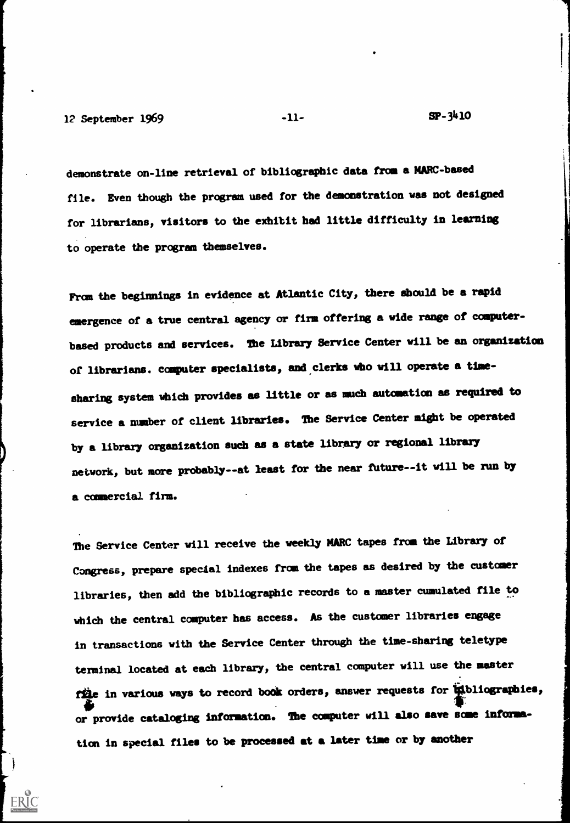12 September 1969 -11-<br>
12 September 1969 -11-<br>
11-

demonstrate on-line retrieval of bibliographic data from a MARC-based file. Even though the program used for the demonstration was not designed for librarians, visitors to the exhibit had little difficulty in learning to operate the program themselves.

From the beginnings in evidence at Atlantic City, there should be a rapid emergence of a true central agency or firm offering a vide range of computerbased products and services. The Library Service Center will be an organization of librarians. computer specialists, and,clerks who will operate a timesharing system which provides as little or as much automation as required to service a number of client libraries. The Service Center might be operated by a library organization such as a state library or regional library network, but more probably --at least for the near future--it will be run by a commercial firm.

The Service Center will receive the weekly MARC tapes from the Library of Congress, prepare special indexes from the tapes as desired by the customer libraries, then add the bibliographic records to a master cumulated file to which the central computer has access. As the customer libraries engage in transactions with the Service Center through the time-sharing teletype terminal located at each library, the central computer will use the master file in various ways to record book orders, answer requests for intoliographies, or provide cataloging information. The computer will also save some information in special files to be processed at a later time or by another

 $\rightarrow$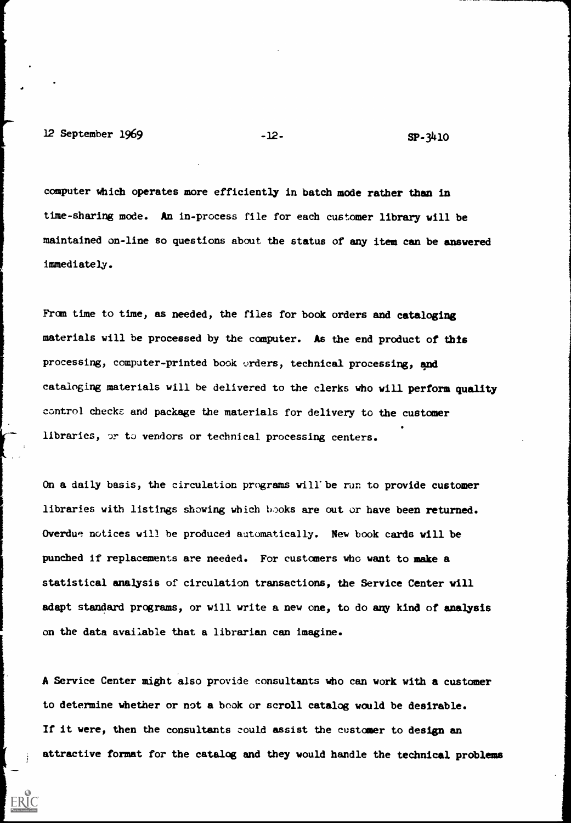computer Which operates more efficiently in batch mode rather than in time-sharing mode. An in-process file for each customer library will be maintained on-line so questions about the status of any item can be answered immediately.

From time to time, as needed, the files for book orders and cataloging materials will be processed by the computer. As the end product of this processing, computer-printed book orders, technical processing, and cataloging materials will be delivered to the clerks who will perform quality control checks and package the materials for delivery to the customer libraries, or to vendors or technical processing centers.

On a daily basis, the circulation programs will'be run to provide customer libraries with listings showing which books are out or have been returned. Overdue notices will be produced automatically. New book cards will be punched if replacements are needed. For customers who want to make a statistical analysis of circulation transactions, the Service Center will adapt standard programs, or will write a new one, to do any kind of analysis on the data available that a librarian can imagine.

A Service Center might also provide consultants who can work with a customer to determine whether or not a book or scroll catalog would be desirable. If it were, then the consultants could assist the customer to design an attractive format for the catalog and they would handle the technical problems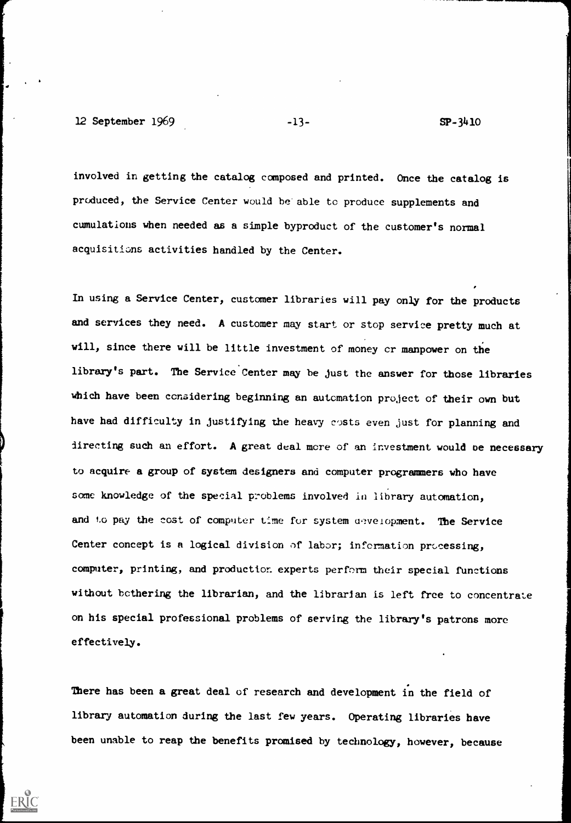12 September 1969 -13- SP-3410

ERIC

involved in getting the catalog composed and printed. Once the catalog is produced, the Service Center would be'able to produce supplements and cumulations when needed as a simple byproduct of the customer's normal acquisitions activities handled by the Center.

In using a Service Center, customer libraries will pay only for the products and services they need. A customer may start or stop service pretty much at will, since there will be little investment of money cr manpower on the library's part. The Service Center may be just the answer for those libraries which have been considering beginning an automation project of their own but have had difficulty in justifying the heavy costs even just for planning and directing such an effort. A great deal more of an investment would be necessary to acquire a group of system designers and computer programmers who have some knowledge of the special problems involved in library automation, and to pay the cost of computer time for system development. The Service Center concept is a logical division of labor; information processing, computer, printing, and production experts perform their special functions without bothering the librarian, and the librarian is left free to concentrate on his special professional problems of serving the library's patrons more effectively.

There has been a great deal of research and development in the field of library automation during the last few years. Operating libraries have been unable to reap the benefits promised by technology, however, because